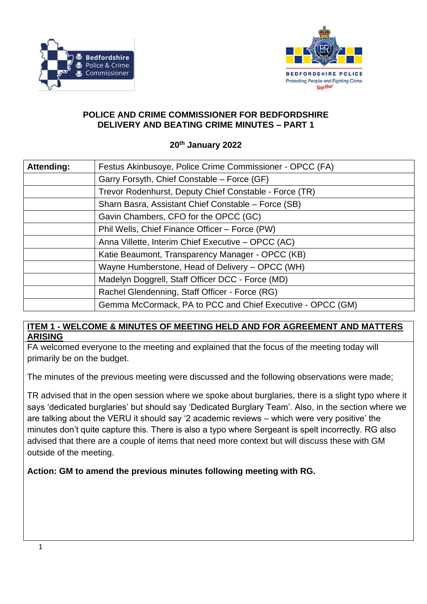



#### **POLICE AND CRIME COMMISSIONER FOR BEDFORDSHIRE DELIVERY AND BEATING CRIME MINUTES – PART 1**

#### **20th January 2022**

| Attending: | Festus Akinbusoye, Police Crime Commissioner - OPCC (FA)   |
|------------|------------------------------------------------------------|
|            | Garry Forsyth, Chief Constable - Force (GF)                |
|            | Trevor Rodenhurst, Deputy Chief Constable - Force (TR)     |
|            | Sharn Basra, Assistant Chief Constable - Force (SB)        |
|            | Gavin Chambers, CFO for the OPCC (GC)                      |
|            | Phil Wells, Chief Finance Officer - Force (PW)             |
|            | Anna Villette, Interim Chief Executive - OPCC (AC)         |
|            | Katie Beaumont, Transparency Manager - OPCC (KB)           |
|            | Wayne Humberstone, Head of Delivery – OPCC (WH)            |
|            | Madelyn Doggrell, Staff Officer DCC - Force (MD)           |
|            | Rachel Glendenning, Staff Officer - Force (RG)             |
|            | Gemma McCormack, PA to PCC and Chief Executive - OPCC (GM) |

### **ITEM 1 - WELCOME & MINUTES OF MEETING HELD AND FOR AGREEMENT AND MATTERS ARISING**

FA welcomed everyone to the meeting and explained that the focus of the meeting today will primarily be on the budget.

The minutes of the previous meeting were discussed and the following observations were made;

TR advised that in the open session where we spoke about burglaries, there is a slight typo where it says 'dedicated burglaries' but should say 'Dedicated Burglary Team'. Also, in the section where we are talking about the VERU it should say '2 academic reviews – which were very positive' the minutes don't quite capture this. There is also a typo where Sergeant is spelt incorrectly. RG also advised that there are a couple of items that need more context but will discuss these with GM outside of the meeting.

**Action: GM to amend the previous minutes following meeting with RG.**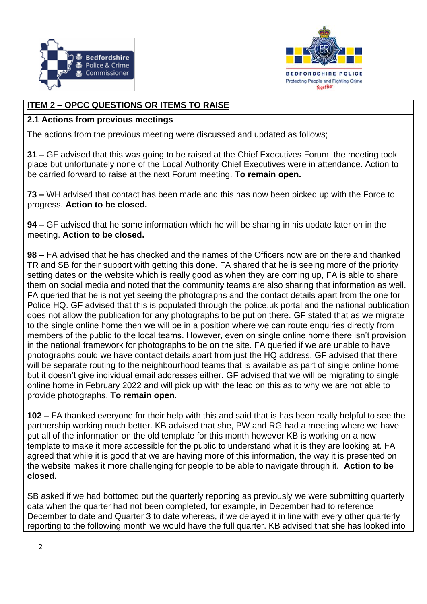



# **ITEM 2 – OPCC QUESTIONS OR ITEMS TO RAISE**

#### **2.1 Actions from previous meetings**

The actions from the previous meeting were discussed and updated as follows;

**31 –** GF advised that this was going to be raised at the Chief Executives Forum, the meeting took place but unfortunately none of the Local Authority Chief Executives were in attendance. Action to be carried forward to raise at the next Forum meeting. **To remain open.**

**73 –** WH advised that contact has been made and this has now been picked up with the Force to progress. **Action to be closed.**

**94 –** GF advised that he some information which he will be sharing in his update later on in the meeting. **Action to be closed.**

**98 –** FA advised that he has checked and the names of the Officers now are on there and thanked TR and SB for their support with getting this done. FA shared that he is seeing more of the priority setting dates on the website which is really good as when they are coming up, FA is able to share them on social media and noted that the community teams are also sharing that information as well. FA queried that he is not yet seeing the photographs and the contact details apart from the one for Police HQ. GF advised that this is populated through the police.uk portal and the national publication does not allow the publication for any photographs to be put on there. GF stated that as we migrate to the single online home then we will be in a position where we can route enquiries directly from members of the public to the local teams. However, even on single online home there isn't provision in the national framework for photographs to be on the site. FA queried if we are unable to have photographs could we have contact details apart from just the HQ address. GF advised that there will be separate routing to the neighbourhood teams that is available as part of single online home but it doesn't give individual email addresses either. GF advised that we will be migrating to single online home in February 2022 and will pick up with the lead on this as to why we are not able to provide photographs. **To remain open.**

**102 –** FA thanked everyone for their help with this and said that is has been really helpful to see the partnership working much better. KB advised that she, PW and RG had a meeting where we have put all of the information on the old template for this month however KB is working on a new template to make it more accessible for the public to understand what it is they are looking at. FA agreed that while it is good that we are having more of this information, the way it is presented on the website makes it more challenging for people to be able to navigate through it. **Action to be closed.**

SB asked if we had bottomed out the quarterly reporting as previously we were submitting quarterly data when the quarter had not been completed, for example, in December had to reference December to date and Quarter 3 to date whereas, if we delayed it in line with every other quarterly reporting to the following month we would have the full quarter. KB advised that she has looked into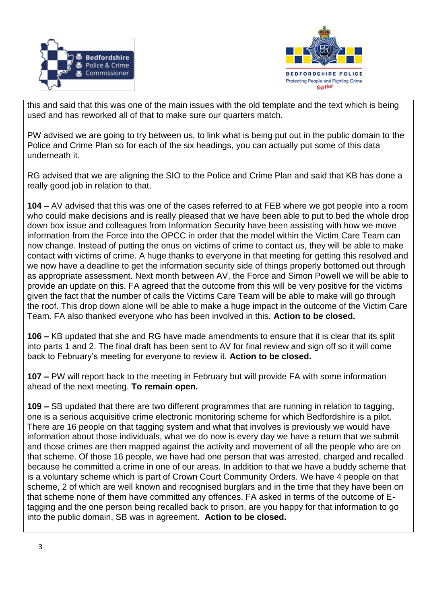



this and said that this was one of the main issues with the old template and the text which is being used and has reworked all of that to make sure our quarters match.

PW advised we are going to try between us, to link what is being put out in the public domain to the Police and Crime Plan so for each of the six headings, you can actually put some of this data underneath it.

RG advised that we are aligning the SIO to the Police and Crime Plan and said that KB has done a really good job in relation to that.

**104 –** AV advised that this was one of the cases referred to at FEB where we got people into a room who could make decisions and is really pleased that we have been able to put to bed the whole drop down box issue and colleagues from Information Security have been assisting with how we move information from the Force into the OPCC in order that the model within the Victim Care Team can now change. Instead of putting the onus on victims of crime to contact us, they will be able to make contact with victims of crime. A huge thanks to everyone in that meeting for getting this resolved and we now have a deadline to get the information security side of things properly bottomed out through as appropriate assessment. Next month between AV, the Force and Simon Powell we will be able to provide an update on this. FA agreed that the outcome from this will be very positive for the victims given the fact that the number of calls the Victims Care Team will be able to make will go through the roof. This drop down alone will be able to make a huge impact in the outcome of the Victim Care Team. FA also thanked everyone who has been involved in this. **Action to be closed.**

**106 –** KB updated that she and RG have made amendments to ensure that it is clear that its split into parts 1 and 2. The final draft has been sent to AV for final review and sign off so it will come back to February's meeting for everyone to review it. **Action to be closed.**

**107 –** PW will report back to the meeting in February but will provide FA with some information ahead of the next meeting. **To remain open.**

**109 –** SB updated that there are two different programmes that are running in relation to tagging, one is a serious acquisitive crime electronic monitoring scheme for which Bedfordshire is a pilot. There are 16 people on that tagging system and what that involves is previously we would have information about those individuals, what we do now is every day we have a return that we submit and those crimes are then mapped against the activity and movement of all the people who are on that scheme. Of those 16 people, we have had one person that was arrested, charged and recalled because he committed a crime in one of our areas. In addition to that we have a buddy scheme that is a voluntary scheme which is part of Crown Court Community Orders. We have 4 people on that scheme, 2 of which are well known and recognised burglars and in the time that they have been on that scheme none of them have committed any offences. FA asked in terms of the outcome of Etagging and the one person being recalled back to prison, are you happy for that information to go into the public domain, SB was in agreement. **Action to be closed.**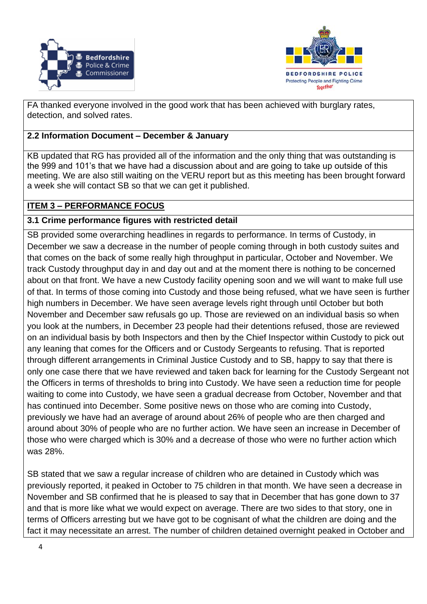



FA thanked everyone involved in the good work that has been achieved with burglary rates, detection, and solved rates.

## **2.2 Information Document – December & January**

KB updated that RG has provided all of the information and the only thing that was outstanding is the 999 and 101's that we have had a discussion about and are going to take up outside of this meeting. We are also still waiting on the VERU report but as this meeting has been brought forward a week she will contact SB so that we can get it published.

# **ITEM 3 – PERFORMANCE FOCUS**

## **3.1 Crime performance figures with restricted detail**

SB provided some overarching headlines in regards to performance. In terms of Custody, in December we saw a decrease in the number of people coming through in both custody suites and that comes on the back of some really high throughput in particular, October and November. We track Custody throughput day in and day out and at the moment there is nothing to be concerned about on that front. We have a new Custody facility opening soon and we will want to make full use of that. In terms of those coming into Custody and those being refused, what we have seen is further high numbers in December. We have seen average levels right through until October but both November and December saw refusals go up. Those are reviewed on an individual basis so when you look at the numbers, in December 23 people had their detentions refused, those are reviewed on an individual basis by both Inspectors and then by the Chief Inspector within Custody to pick out any leaning that comes for the Officers and or Custody Sergeants to refusing. That is reported through different arrangements in Criminal Justice Custody and to SB, happy to say that there is only one case there that we have reviewed and taken back for learning for the Custody Sergeant not the Officers in terms of thresholds to bring into Custody. We have seen a reduction time for people waiting to come into Custody, we have seen a gradual decrease from October, November and that has continued into December. Some positive news on those who are coming into Custody, previously we have had an average of around about 26% of people who are then charged and around about 30% of people who are no further action. We have seen an increase in December of those who were charged which is 30% and a decrease of those who were no further action which was 28%.

SB stated that we saw a regular increase of children who are detained in Custody which was previously reported, it peaked in October to 75 children in that month. We have seen a decrease in November and SB confirmed that he is pleased to say that in December that has gone down to 37 and that is more like what we would expect on average. There are two sides to that story, one in terms of Officers arresting but we have got to be cognisant of what the children are doing and the fact it may necessitate an arrest. The number of children detained overnight peaked in October and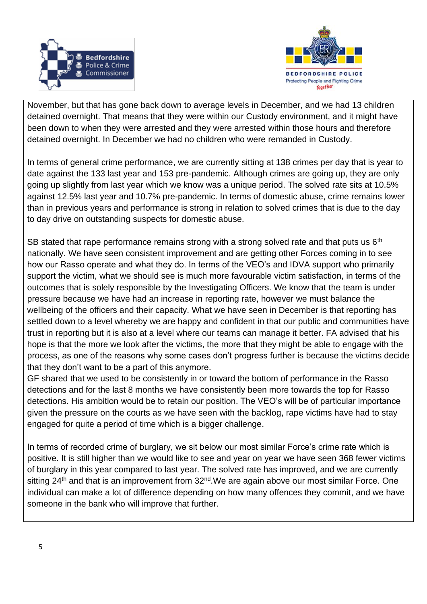



November, but that has gone back down to average levels in December, and we had 13 children detained overnight. That means that they were within our Custody environment, and it might have been down to when they were arrested and they were arrested within those hours and therefore detained overnight. In December we had no children who were remanded in Custody.

In terms of general crime performance, we are currently sitting at 138 crimes per day that is year to date against the 133 last year and 153 pre-pandemic. Although crimes are going up, they are only going up slightly from last year which we know was a unique period. The solved rate sits at 10.5% against 12.5% last year and 10.7% pre-pandemic. In terms of domestic abuse, crime remains lower than in previous years and performance is strong in relation to solved crimes that is due to the day to day drive on outstanding suspects for domestic abuse.

SB stated that rape performance remains strong with a strong solved rate and that puts us  $6<sup>th</sup>$ nationally. We have seen consistent improvement and are getting other Forces coming in to see how our Rasso operate and what they do. In terms of the VEO's and IDVA support who primarily support the victim, what we should see is much more favourable victim satisfaction, in terms of the outcomes that is solely responsible by the Investigating Officers. We know that the team is under pressure because we have had an increase in reporting rate, however we must balance the wellbeing of the officers and their capacity. What we have seen in December is that reporting has settled down to a level whereby we are happy and confident in that our public and communities have trust in reporting but it is also at a level where our teams can manage it better. FA advised that his hope is that the more we look after the victims, the more that they might be able to engage with the process, as one of the reasons why some cases don't progress further is because the victims decide that they don't want to be a part of this anymore.

GF shared that we used to be consistently in or toward the bottom of performance in the Rasso detections and for the last 8 months we have consistently been more towards the top for Rasso detections. His ambition would be to retain our position. The VEO's will be of particular importance given the pressure on the courts as we have seen with the backlog, rape victims have had to stay engaged for quite a period of time which is a bigger challenge.

In terms of recorded crime of burglary, we sit below our most similar Force's crime rate which is positive. It is still higher than we would like to see and year on year we have seen 368 fewer victims of burglary in this year compared to last year. The solved rate has improved, and we are currently sitting  $24<sup>th</sup>$  and that is an improvement from  $32<sup>nd</sup>$ . We are again above our most similar Force. One individual can make a lot of difference depending on how many offences they commit, and we have someone in the bank who will improve that further.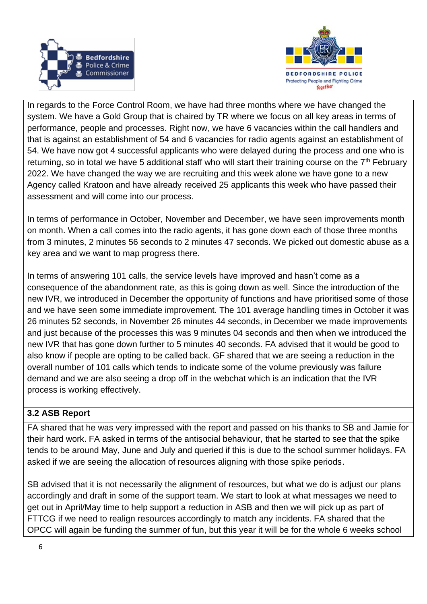



In regards to the Force Control Room, we have had three months where we have changed the system. We have a Gold Group that is chaired by TR where we focus on all key areas in terms of performance, people and processes. Right now, we have 6 vacancies within the call handlers and that is against an establishment of 54 and 6 vacancies for radio agents against an establishment of 54. We have now got 4 successful applicants who were delayed during the process and one who is returning, so in total we have 5 additional staff who will start their training course on the  $7<sup>th</sup>$  February 2022. We have changed the way we are recruiting and this week alone we have gone to a new Agency called Kratoon and have already received 25 applicants this week who have passed their assessment and will come into our process.

In terms of performance in October, November and December, we have seen improvements month on month. When a call comes into the radio agents, it has gone down each of those three months from 3 minutes, 2 minutes 56 seconds to 2 minutes 47 seconds. We picked out domestic abuse as a key area and we want to map progress there.

In terms of answering 101 calls, the service levels have improved and hasn't come as a consequence of the abandonment rate, as this is going down as well. Since the introduction of the new IVR, we introduced in December the opportunity of functions and have prioritised some of those and we have seen some immediate improvement. The 101 average handling times in October it was 26 minutes 52 seconds, in November 26 minutes 44 seconds, in December we made improvements and just because of the processes this was 9 minutes 04 seconds and then when we introduced the new IVR that has gone down further to 5 minutes 40 seconds. FA advised that it would be good to also know if people are opting to be called back. GF shared that we are seeing a reduction in the overall number of 101 calls which tends to indicate some of the volume previously was failure demand and we are also seeing a drop off in the webchat which is an indication that the IVR process is working effectively.

# **3.2 ASB Report**

FA shared that he was very impressed with the report and passed on his thanks to SB and Jamie for their hard work. FA asked in terms of the antisocial behaviour, that he started to see that the spike tends to be around May, June and July and queried if this is due to the school summer holidays. FA asked if we are seeing the allocation of resources aligning with those spike periods.

SB advised that it is not necessarily the alignment of resources, but what we do is adjust our plans accordingly and draft in some of the support team. We start to look at what messages we need to get out in April/May time to help support a reduction in ASB and then we will pick up as part of FTTCG if we need to realign resources accordingly to match any incidents. FA shared that the OPCC will again be funding the summer of fun, but this year it will be for the whole 6 weeks school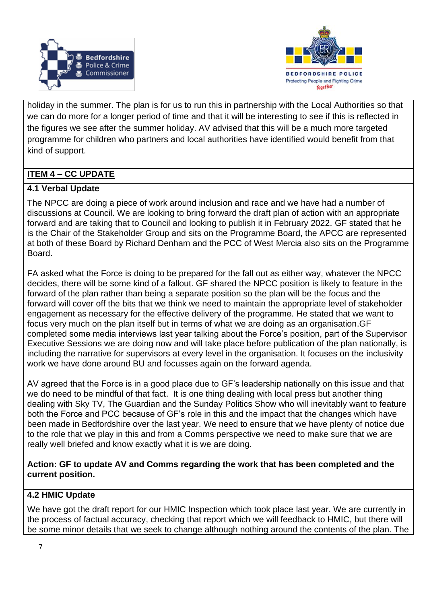



holiday in the summer. The plan is for us to run this in partnership with the Local Authorities so that we can do more for a longer period of time and that it will be interesting to see if this is reflected in the figures we see after the summer holiday. AV advised that this will be a much more targeted programme for children who partners and local authorities have identified would benefit from that kind of support.

# **ITEM 4 – CC UPDATE**

## **4.1 Verbal Update**

The NPCC are doing a piece of work around inclusion and race and we have had a number of discussions at Council. We are looking to bring forward the draft plan of action with an appropriate forward and are taking that to Council and looking to publish it in February 2022. GF stated that he is the Chair of the Stakeholder Group and sits on the Programme Board, the APCC are represented at both of these Board by Richard Denham and the PCC of West Mercia also sits on the Programme Board.

FA asked what the Force is doing to be prepared for the fall out as either way, whatever the NPCC decides, there will be some kind of a fallout. GF shared the NPCC position is likely to feature in the forward of the plan rather than being a separate position so the plan will be the focus and the forward will cover off the bits that we think we need to maintain the appropriate level of stakeholder engagement as necessary for the effective delivery of the programme. He stated that we want to focus very much on the plan itself but in terms of what we are doing as an organisation.GF completed some media interviews last year talking about the Force's position, part of the Supervisor Executive Sessions we are doing now and will take place before publication of the plan nationally, is including the narrative for supervisors at every level in the organisation. It focuses on the inclusivity work we have done around BU and focusses again on the forward agenda.

AV agreed that the Force is in a good place due to GF's leadership nationally on this issue and that we do need to be mindful of that fact. It is one thing dealing with local press but another thing dealing with Sky TV, The Guardian and the Sunday Politics Show who will inevitably want to feature both the Force and PCC because of GF's role in this and the impact that the changes which have been made in Bedfordshire over the last year. We need to ensure that we have plenty of notice due to the role that we play in this and from a Comms perspective we need to make sure that we are really well briefed and know exactly what it is we are doing.

#### **Action: GF to update AV and Comms regarding the work that has been completed and the current position.**

# **4.2 HMIC Update**

We have got the draft report for our HMIC Inspection which took place last year. We are currently in the process of factual accuracy, checking that report which we will feedback to HMIC, but there will be some minor details that we seek to change although nothing around the contents of the plan. The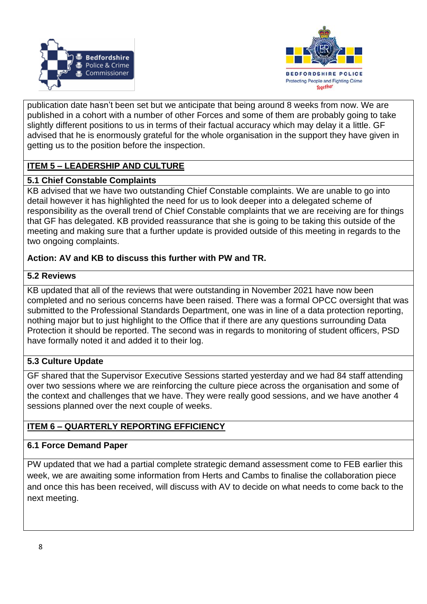



publication date hasn't been set but we anticipate that being around 8 weeks from now. We are published in a cohort with a number of other Forces and some of them are probably going to take slightly different positions to us in terms of their factual accuracy which may delay it a little. GF advised that he is enormously grateful for the whole organisation in the support they have given in getting us to the position before the inspection.

# **ITEM 5 – LEADERSHIP AND CULTURE**

### **5.1 Chief Constable Complaints**

KB advised that we have two outstanding Chief Constable complaints. We are unable to go into detail however it has highlighted the need for us to look deeper into a delegated scheme of responsibility as the overall trend of Chief Constable complaints that we are receiving are for things that GF has delegated. KB provided reassurance that she is going to be taking this outside of the meeting and making sure that a further update is provided outside of this meeting in regards to the two ongoing complaints.

## **Action: AV and KB to discuss this further with PW and TR.**

### **5.2 Reviews**

KB updated that all of the reviews that were outstanding in November 2021 have now been completed and no serious concerns have been raised. There was a formal OPCC oversight that was submitted to the Professional Standards Department, one was in line of a data protection reporting, nothing major but to just highlight to the Office that if there are any questions surrounding Data Protection it should be reported. The second was in regards to monitoring of student officers, PSD have formally noted it and added it to their log.

# **5.3 Culture Update**

GF shared that the Supervisor Executive Sessions started yesterday and we had 84 staff attending over two sessions where we are reinforcing the culture piece across the organisation and some of the context and challenges that we have. They were really good sessions, and we have another 4 sessions planned over the next couple of weeks.

# **ITEM 6 – QUARTERLY REPORTING EFFICIENCY**

# **6.1 Force Demand Paper**

PW updated that we had a partial complete strategic demand assessment come to FEB earlier this week, we are awaiting some information from Herts and Cambs to finalise the collaboration piece and once this has been received, will discuss with AV to decide on what needs to come back to the next meeting.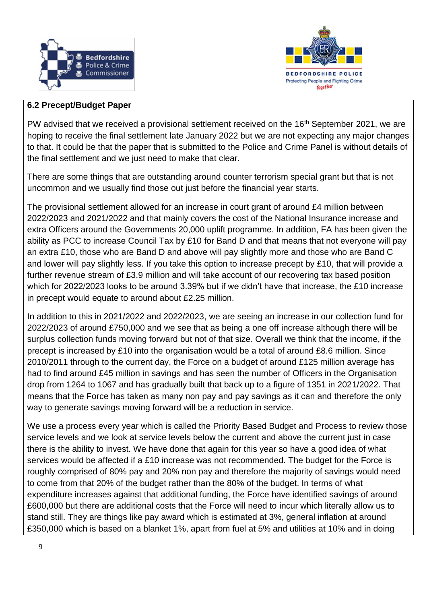



#### **6.2 Precept/Budget Paper**

PW advised that we received a provisional settlement received on the 16<sup>th</sup> September 2021, we are hoping to receive the final settlement late January 2022 but we are not expecting any major changes to that. It could be that the paper that is submitted to the Police and Crime Panel is without details of the final settlement and we just need to make that clear.

There are some things that are outstanding around counter terrorism special grant but that is not uncommon and we usually find those out just before the financial year starts.

The provisional settlement allowed for an increase in court grant of around £4 million between 2022/2023 and 2021/2022 and that mainly covers the cost of the National Insurance increase and extra Officers around the Governments 20,000 uplift programme. In addition, FA has been given the ability as PCC to increase Council Tax by £10 for Band D and that means that not everyone will pay an extra £10, those who are Band D and above will pay slightly more and those who are Band C and lower will pay slightly less. If you take this option to increase precept by £10, that will provide a further revenue stream of £3.9 million and will take account of our recovering tax based position which for 2022/2023 looks to be around 3.39% but if we didn't have that increase, the £10 increase in precept would equate to around about £2.25 million.

In addition to this in 2021/2022 and 2022/2023, we are seeing an increase in our collection fund for 2022/2023 of around £750,000 and we see that as being a one off increase although there will be surplus collection funds moving forward but not of that size. Overall we think that the income, if the precept is increased by £10 into the organisation would be a total of around £8.6 million. Since 2010/2011 through to the current day, the Force on a budget of around £125 million average has had to find around £45 million in savings and has seen the number of Officers in the Organisation drop from 1264 to 1067 and has gradually built that back up to a figure of 1351 in 2021/2022. That means that the Force has taken as many non pay and pay savings as it can and therefore the only way to generate savings moving forward will be a reduction in service.

We use a process every year which is called the Priority Based Budget and Process to review those service levels and we look at service levels below the current and above the current just in case there is the ability to invest. We have done that again for this year so have a good idea of what services would be affected if a £10 increase was not recommended. The budget for the Force is roughly comprised of 80% pay and 20% non pay and therefore the majority of savings would need to come from that 20% of the budget rather than the 80% of the budget. In terms of what expenditure increases against that additional funding, the Force have identified savings of around £600,000 but there are additional costs that the Force will need to incur which literally allow us to stand still. They are things like pay award which is estimated at 3%, general inflation at around £350,000 which is based on a blanket 1%, apart from fuel at 5% and utilities at 10% and in doing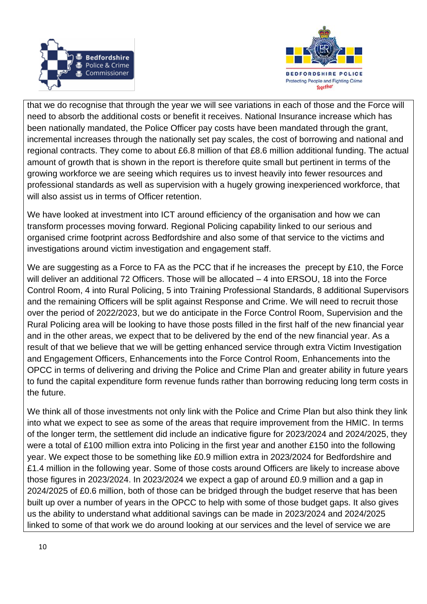



that we do recognise that through the year we will see variations in each of those and the Force will need to absorb the additional costs or benefit it receives. National Insurance increase which has been nationally mandated, the Police Officer pay costs have been mandated through the grant, incremental increases through the nationally set pay scales, the cost of borrowing and national and regional contracts. They come to about £6.8 million of that £8.6 million additional funding. The actual amount of growth that is shown in the report is therefore quite small but pertinent in terms of the growing workforce we are seeing which requires us to invest heavily into fewer resources and professional standards as well as supervision with a hugely growing inexperienced workforce, that will also assist us in terms of Officer retention.

We have looked at investment into ICT around efficiency of the organisation and how we can transform processes moving forward. Regional Policing capability linked to our serious and organised crime footprint across Bedfordshire and also some of that service to the victims and investigations around victim investigation and engagement staff.

We are suggesting as a Force to FA as the PCC that if he increases the precept by £10, the Force will deliver an additional 72 Officers. Those will be allocated – 4 into ERSOU, 18 into the Force Control Room, 4 into Rural Policing, 5 into Training Professional Standards, 8 additional Supervisors and the remaining Officers will be split against Response and Crime. We will need to recruit those over the period of 2022/2023, but we do anticipate in the Force Control Room, Supervision and the Rural Policing area will be looking to have those posts filled in the first half of the new financial year and in the other areas, we expect that to be delivered by the end of the new financial year. As a result of that we believe that we will be getting enhanced service through extra Victim Investigation and Engagement Officers, Enhancements into the Force Control Room, Enhancements into the OPCC in terms of delivering and driving the Police and Crime Plan and greater ability in future years to fund the capital expenditure form revenue funds rather than borrowing reducing long term costs in the future.

We think all of those investments not only link with the Police and Crime Plan but also think they link into what we expect to see as some of the areas that require improvement from the HMIC. In terms of the longer term, the settlement did include an indicative figure for 2023/2024 and 2024/2025, they were a total of £100 million extra into Policing in the first year and another £150 into the following year. We expect those to be something like £0.9 million extra in 2023/2024 for Bedfordshire and £1.4 million in the following year. Some of those costs around Officers are likely to increase above those figures in 2023/2024. In 2023/2024 we expect a gap of around £0.9 million and a gap in 2024/2025 of £0.6 million, both of those can be bridged through the budget reserve that has been built up over a number of years in the OPCC to help with some of those budget gaps. It also gives us the ability to understand what additional savings can be made in 2023/2024 and 2024/2025 linked to some of that work we do around looking at our services and the level of service we are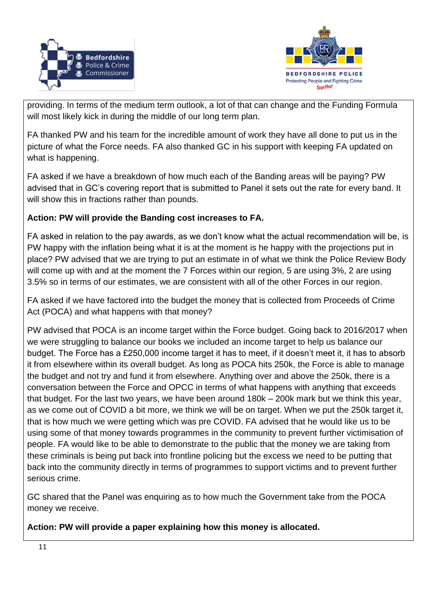



providing. In terms of the medium term outlook, a lot of that can change and the Funding Formula will most likely kick in during the middle of our long term plan.

FA thanked PW and his team for the incredible amount of work they have all done to put us in the picture of what the Force needs. FA also thanked GC in his support with keeping FA updated on what is happening.

FA asked if we have a breakdown of how much each of the Banding areas will be paying? PW advised that in GC's covering report that is submitted to Panel it sets out the rate for every band. It will show this in fractions rather than pounds.

## **Action: PW will provide the Banding cost increases to FA.**

FA asked in relation to the pay awards, as we don't know what the actual recommendation will be, is PW happy with the inflation being what it is at the moment is he happy with the projections put in place? PW advised that we are trying to put an estimate in of what we think the Police Review Body will come up with and at the moment the 7 Forces within our region, 5 are using 3%, 2 are using 3.5% so in terms of our estimates, we are consistent with all of the other Forces in our region.

FA asked if we have factored into the budget the money that is collected from Proceeds of Crime Act (POCA) and what happens with that money?

PW advised that POCA is an income target within the Force budget. Going back to 2016/2017 when we were struggling to balance our books we included an income target to help us balance our budget. The Force has a £250,000 income target it has to meet, if it doesn't meet it, it has to absorb it from elsewhere within its overall budget. As long as POCA hits 250k, the Force is able to manage the budget and not try and fund it from elsewhere. Anything over and above the 250k, there is a conversation between the Force and OPCC in terms of what happens with anything that exceeds that budget. For the last two years, we have been around 180k – 200k mark but we think this year, as we come out of COVID a bit more, we think we will be on target. When we put the 250k target it, that is how much we were getting which was pre COVID. FA advised that he would like us to be using some of that money towards programmes in the community to prevent further victimisation of people. FA would like to be able to demonstrate to the public that the money we are taking from these criminals is being put back into frontline policing but the excess we need to be putting that back into the community directly in terms of programmes to support victims and to prevent further serious crime.

GC shared that the Panel was enquiring as to how much the Government take from the POCA money we receive.

**Action: PW will provide a paper explaining how this money is allocated.**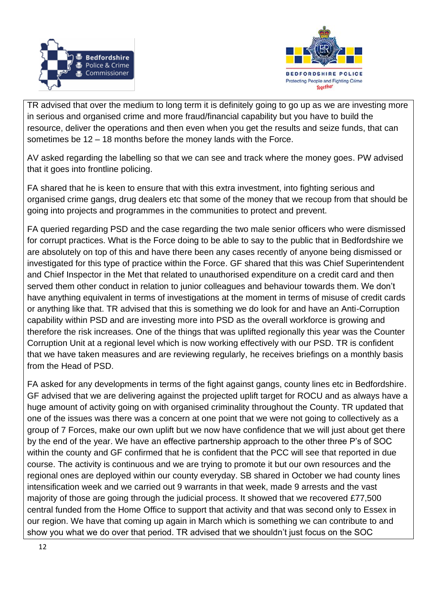



TR advised that over the medium to long term it is definitely going to go up as we are investing more in serious and organised crime and more fraud/financial capability but you have to build the resource, deliver the operations and then even when you get the results and seize funds, that can sometimes be 12 – 18 months before the money lands with the Force.

AV asked regarding the labelling so that we can see and track where the money goes. PW advised that it goes into frontline policing.

FA shared that he is keen to ensure that with this extra investment, into fighting serious and organised crime gangs, drug dealers etc that some of the money that we recoup from that should be going into projects and programmes in the communities to protect and prevent.

FA queried regarding PSD and the case regarding the two male senior officers who were dismissed for corrupt practices. What is the Force doing to be able to say to the public that in Bedfordshire we are absolutely on top of this and have there been any cases recently of anyone being dismissed or investigated for this type of practice within the Force. GF shared that this was Chief Superintendent and Chief Inspector in the Met that related to unauthorised expenditure on a credit card and then served them other conduct in relation to junior colleagues and behaviour towards them. We don't have anything equivalent in terms of investigations at the moment in terms of misuse of credit cards or anything like that. TR advised that this is something we do look for and have an Anti-Corruption capability within PSD and are investing more into PSD as the overall workforce is growing and therefore the risk increases. One of the things that was uplifted regionally this year was the Counter Corruption Unit at a regional level which is now working effectively with our PSD. TR is confident that we have taken measures and are reviewing regularly, he receives briefings on a monthly basis from the Head of PSD.

FA asked for any developments in terms of the fight against gangs, county lines etc in Bedfordshire. GF advised that we are delivering against the projected uplift target for ROCU and as always have a huge amount of activity going on with organised criminality throughout the County. TR updated that one of the issues was there was a concern at one point that we were not going to collectively as a group of 7 Forces, make our own uplift but we now have confidence that we will just about get there by the end of the year. We have an effective partnership approach to the other three P's of SOC within the county and GF confirmed that he is confident that the PCC will see that reported in due course. The activity is continuous and we are trying to promote it but our own resources and the regional ones are deployed within our county everyday. SB shared in October we had county lines intensification week and we carried out 9 warrants in that week, made 9 arrests and the vast majority of those are going through the judicial process. It showed that we recovered £77,500 central funded from the Home Office to support that activity and that was second only to Essex in our region. We have that coming up again in March which is something we can contribute to and show you what we do over that period. TR advised that we shouldn't just focus on the SOC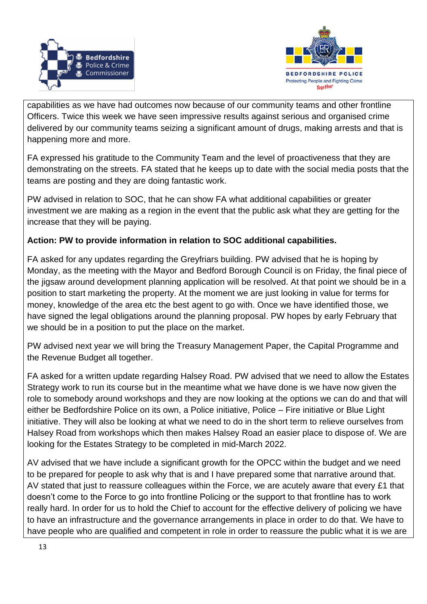



capabilities as we have had outcomes now because of our community teams and other frontline Officers. Twice this week we have seen impressive results against serious and organised crime delivered by our community teams seizing a significant amount of drugs, making arrests and that is happening more and more.

FA expressed his gratitude to the Community Team and the level of proactiveness that they are demonstrating on the streets. FA stated that he keeps up to date with the social media posts that the teams are posting and they are doing fantastic work.

PW advised in relation to SOC, that he can show FA what additional capabilities or greater investment we are making as a region in the event that the public ask what they are getting for the increase that they will be paying.

# **Action: PW to provide information in relation to SOC additional capabilities.**

FA asked for any updates regarding the Greyfriars building. PW advised that he is hoping by Monday, as the meeting with the Mayor and Bedford Borough Council is on Friday, the final piece of the jigsaw around development planning application will be resolved. At that point we should be in a position to start marketing the property. At the moment we are just looking in value for terms for money, knowledge of the area etc the best agent to go with. Once we have identified those, we have signed the legal obligations around the planning proposal. PW hopes by early February that we should be in a position to put the place on the market.

PW advised next year we will bring the Treasury Management Paper, the Capital Programme and the Revenue Budget all together.

FA asked for a written update regarding Halsey Road. PW advised that we need to allow the Estates Strategy work to run its course but in the meantime what we have done is we have now given the role to somebody around workshops and they are now looking at the options we can do and that will either be Bedfordshire Police on its own, a Police initiative, Police – Fire initiative or Blue Light initiative. They will also be looking at what we need to do in the short term to relieve ourselves from Halsey Road from workshops which then makes Halsey Road an easier place to dispose of. We are looking for the Estates Strategy to be completed in mid-March 2022.

AV advised that we have include a significant growth for the OPCC within the budget and we need to be prepared for people to ask why that is and I have prepared some that narrative around that. AV stated that just to reassure colleagues within the Force, we are acutely aware that every £1 that doesn't come to the Force to go into frontline Policing or the support to that frontline has to work really hard. In order for us to hold the Chief to account for the effective delivery of policing we have to have an infrastructure and the governance arrangements in place in order to do that. We have to have people who are qualified and competent in role in order to reassure the public what it is we are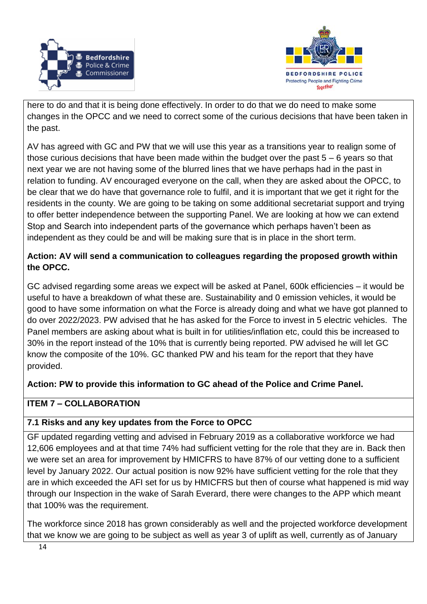



here to do and that it is being done effectively. In order to do that we do need to make some changes in the OPCC and we need to correct some of the curious decisions that have been taken in the past.

AV has agreed with GC and PW that we will use this year as a transitions year to realign some of those curious decisions that have been made within the budget over the past 5 – 6 years so that next year we are not having some of the blurred lines that we have perhaps had in the past in relation to funding. AV encouraged everyone on the call, when they are asked about the OPCC, to be clear that we do have that governance role to fulfil, and it is important that we get it right for the residents in the county. We are going to be taking on some additional secretariat support and trying to offer better independence between the supporting Panel. We are looking at how we can extend Stop and Search into independent parts of the governance which perhaps haven't been as independent as they could be and will be making sure that is in place in the short term.

# **Action: AV will send a communication to colleagues regarding the proposed growth within the OPCC.**

GC advised regarding some areas we expect will be asked at Panel, 600k efficiencies – it would be useful to have a breakdown of what these are. Sustainability and 0 emission vehicles, it would be good to have some information on what the Force is already doing and what we have got planned to do over 2022/2023. PW advised that he has asked for the Force to invest in 5 electric vehicles. The Panel members are asking about what is built in for utilities/inflation etc, could this be increased to 30% in the report instead of the 10% that is currently being reported. PW advised he will let GC know the composite of the 10%. GC thanked PW and his team for the report that they have provided.

# **Action: PW to provide this information to GC ahead of the Police and Crime Panel.**

# **ITEM 7 – COLLABORATION**

# **7.1 Risks and any key updates from the Force to OPCC**

GF updated regarding vetting and advised in February 2019 as a collaborative workforce we had 12,606 employees and at that time 74% had sufficient vetting for the role that they are in. Back then we were set an area for improvement by HMICFRS to have 87% of our vetting done to a sufficient level by January 2022. Our actual position is now 92% have sufficient vetting for the role that they are in which exceeded the AFI set for us by HMICFRS but then of course what happened is mid way through our Inspection in the wake of Sarah Everard, there were changes to the APP which meant that 100% was the requirement.

The workforce since 2018 has grown considerably as well and the projected workforce development that we know we are going to be subject as well as year 3 of uplift as well, currently as of January